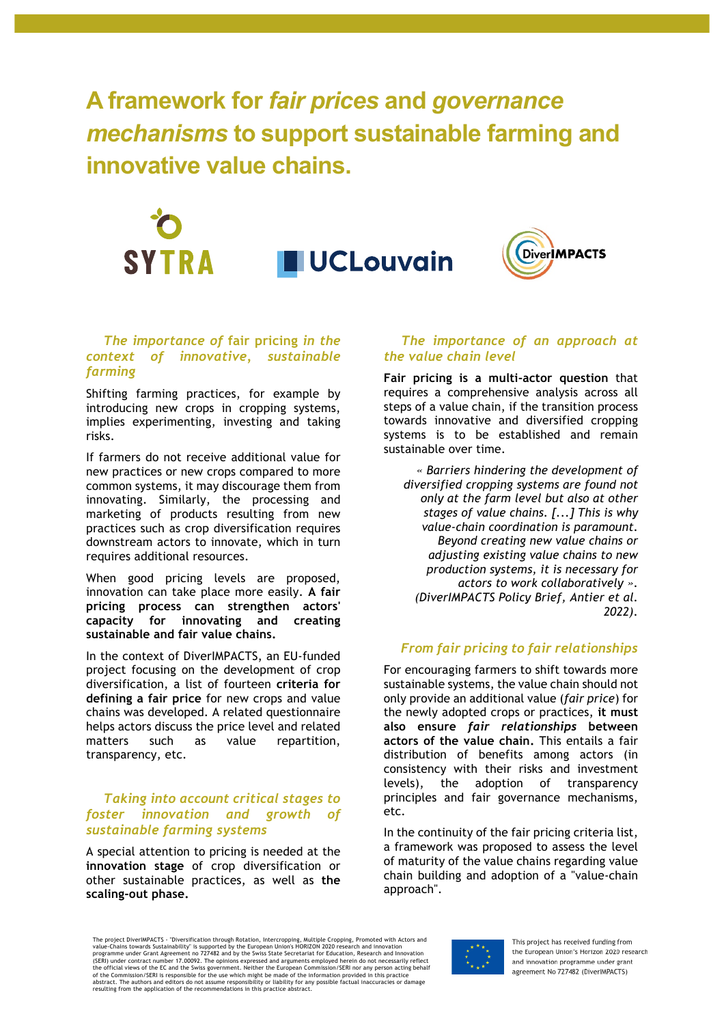**A framework for** *fair prices* **and** *governance mechanisms* **to support sustainable farming and innovative value chains.**



#### *The importance of* **fair pricing** *in the context of innovative, sustainable farming*

Shifting farming practices, for example by introducing new crops in cropping systems, implies experimenting, investing and taking risks.

If farmers do not receive additional value for new practices or new crops compared to more common systems, it may discourage them from innovating. Similarly, the processing and marketing of products resulting from new practices such as crop diversification requires downstream actors to innovate, which in turn requires additional resources.

When good pricing levels are proposed, innovation can take place more easily. **A fair pricing process can strengthen actors' capacity for innovating and creating sustainable and fair value chains.** 

In the context of DiverIMPACTS, an EU-funded project focusing on the development of crop diversification, a list of fourteen **criteria for defining a fair price** for new crops and value chains was developed. A related questionnaire helps actors discuss the price level and related matters such as value repartition, transparency, etc.

### *Taking into account critical stages to foster innovation and growth of sustainable farming systems*

A special attention to pricing is needed at the **innovation stage** of crop diversification or other sustainable practices, as well as **the scaling-out phase.** 

#### *The importance of an approach at the value chain level*

**Fair pricing is a multi-actor question** that requires a comprehensive analysis across all steps of a value chain, if the transition process towards innovative and diversified cropping systems is to be established and remain sustainable over time.

*« Barriers hindering the development of diversified cropping systems are found not only at the farm level but also at other stages of value chains. [...] This is why value-chain coordination is paramount. Beyond creating new value chains or adjusting existing value chains to new production systems, it is necessary for actors to work collaboratively ». (DiverIMPACTS Policy Brief, Antier et al. 2022).*

## *From fair pricing to fair relationships*

For encouraging farmers to shift towards more sustainable systems, the value chain should not only provide an additional value (*fair price*) for the newly adopted crops or practices, **it must also ensure** *fair relationships* **between actors of the value chain.** This entails a fair distribution of benefits among actors (in consistency with their risks and investment levels), the adoption of transparency principles and fair governance mechanisms, etc.

In the continuity of the fair pricing criteria list, a framework was proposed to assess the level of maturity of the value chains regarding value chain building and adoption of a "value-chain approach".

The project DiverlMPACTS - "Diversification through Rotation, Intercropping, Multiple Cropping, Promoted with Actors and<br>value-Chains towards Sustainability" is supported by the European Union's HORIZON 2020 research and i resulting from the application of the recommendations in this practice abstract.

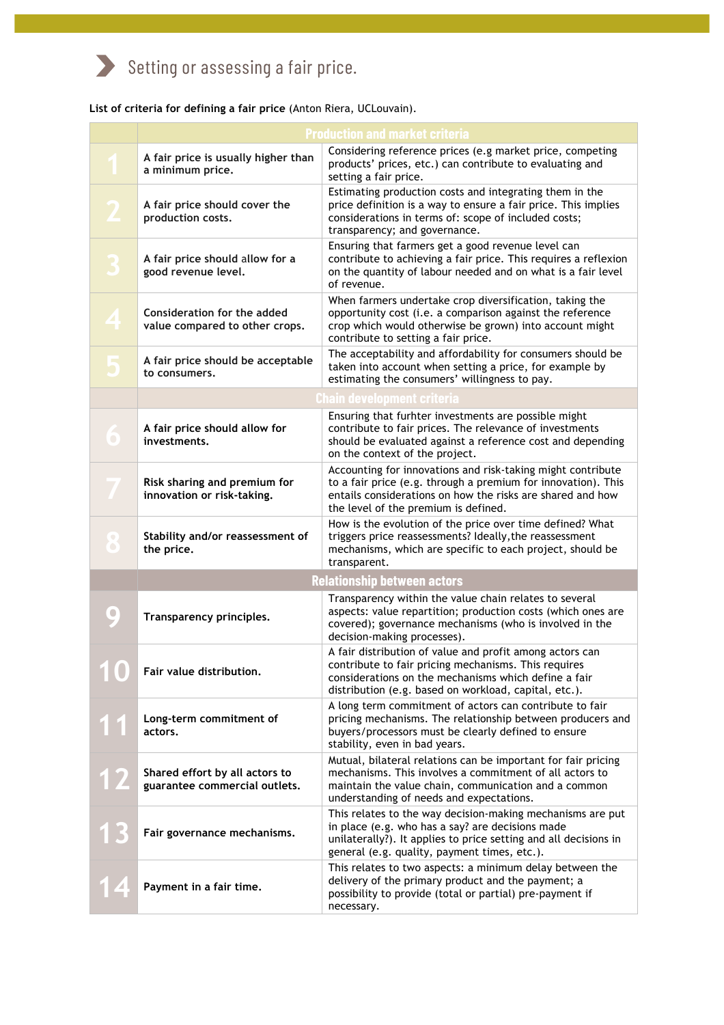# Setting or assessing a fair price.

**List of criteria for defining a fair price** (Anton Riera, UCLouvain).

|                                    | <b>Production and market criteria</b>                           |                                                                                                                                                                                                                                    |  |
|------------------------------------|-----------------------------------------------------------------|------------------------------------------------------------------------------------------------------------------------------------------------------------------------------------------------------------------------------------|--|
|                                    | A fair price is usually higher than<br>a minimum price.         | Considering reference prices (e.g market price, competing<br>products' prices, etc.) can contribute to evaluating and<br>setting a fair price.                                                                                     |  |
|                                    | A fair price should cover the<br>production costs.              | Estimating production costs and integrating them in the<br>price definition is a way to ensure a fair price. This implies<br>considerations in terms of: scope of included costs;<br>transparency; and governance.                 |  |
|                                    | A fair price should allow for a<br>good revenue level.          | Ensuring that farmers get a good revenue level can<br>contribute to achieving a fair price. This requires a reflexion<br>on the quantity of labour needed and on what is a fair level<br>of revenue.                               |  |
|                                    | Consideration for the added<br>value compared to other crops.   | When farmers undertake crop diversification, taking the<br>opportunity cost (i.e. a comparison against the reference<br>crop which would otherwise be grown) into account might<br>contribute to setting a fair price.             |  |
|                                    | A fair price should be acceptable<br>to consumers.              | The acceptability and affordability for consumers should be<br>taken into account when setting a price, for example by<br>estimating the consumers' willingness to pay.                                                            |  |
| Chain development criteria         |                                                                 |                                                                                                                                                                                                                                    |  |
| $\bullet$                          | A fair price should allow for<br>investments.                   | Ensuring that furhter investments are possible might<br>contribute to fair prices. The relevance of investments<br>should be evaluated against a reference cost and depending<br>on the context of the project.                    |  |
|                                    | Risk sharing and premium for<br>innovation or risk-taking.      | Accounting for innovations and risk-taking might contribute<br>to a fair price (e.g. through a premium for innovation). This<br>entails considerations on how the risks are shared and how<br>the level of the premium is defined. |  |
| $\bullet$                          | Stability and/or reassessment of<br>the price.                  | How is the evolution of the price over time defined? What<br>triggers price reassessments? Ideally, the reassessment<br>mechanisms, which are specific to each project, should be<br>transparent.                                  |  |
| <b>Relationship between actors</b> |                                                                 |                                                                                                                                                                                                                                    |  |
|                                    | Transparency principles.                                        | Transparency within the value chain relates to several<br>aspects: value repartition; production costs (which ones are<br>covered); governance mechanisms (who is involved in the<br>decision-making processes).                   |  |
|                                    | Fair value distribution.                                        | A fair distribution of value and profit among actors can<br>contribute to fair pricing mechanisms. This requires<br>considerations on the mechanisms which define a fair<br>distribution (e.g. based on workload, capital, etc.).  |  |
|                                    | Long-term commitment of<br>actors.                              | A long term commitment of actors can contribute to fair<br>pricing mechanisms. The relationship between producers and<br>buyers/processors must be clearly defined to ensure<br>stability, even in bad years.                      |  |
|                                    | Shared effort by all actors to<br>guarantee commercial outlets. | Mutual, bilateral relations can be important for fair pricing<br>mechanisms. This involves a commitment of all actors to<br>maintain the value chain, communication and a common<br>understanding of needs and expectations.       |  |
|                                    | Fair governance mechanisms.                                     | This relates to the way decision-making mechanisms are put<br>in place (e.g. who has a say? are decisions made<br>unilaterally?). It applies to price setting and all decisions in<br>general (e.g. quality, payment times, etc.). |  |
|                                    | Payment in a fair time.                                         | This relates to two aspects: a minimum delay between the<br>delivery of the primary product and the payment; a<br>possibility to provide (total or partial) pre-payment if<br>necessary.                                           |  |